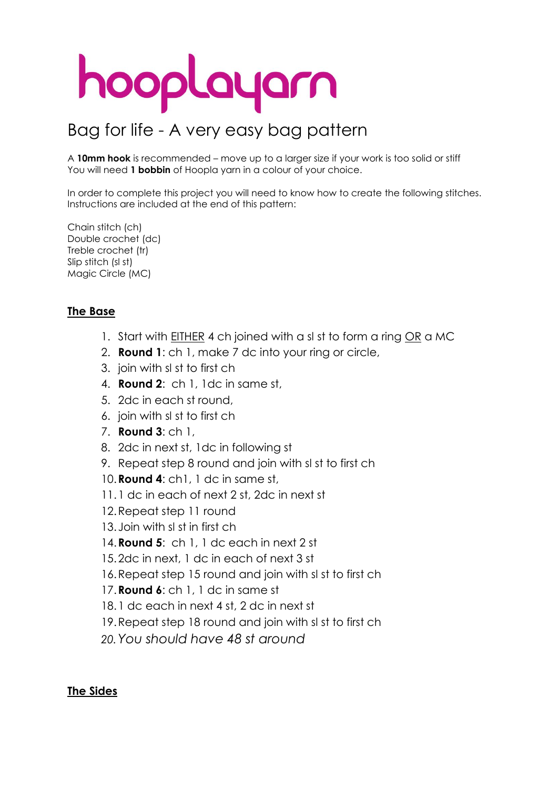# hooplayarn

### Bag for life - A very easy bag pattern

A **10mm hook** is recommended – move up to a larger size if your work is too solid or stiff You will need **1 bobbin** of Hoopla yarn in a colour of your choice.

In order to complete this project you will need to know how to create the following stitches. Instructions are included at the end of this pattern:

Chain stitch (ch) Double crochet (dc) Treble crochet (tr) Slip stitch (sl st) Magic Circle (MC)

#### **The Base**

- 1. Start with EITHER 4 ch joined with a sl st to form a ring OR a MC
- 2. **Round 1**: ch 1, make 7 dc into your ring or circle,
- 3. join with sl st to first ch
- 4. **Round 2**: ch 1, 1dc in same st,
- 5. 2dc in each st round,
- 6. join with sl st to first ch
- 7. **Round 3**: ch 1,
- 8. 2dc in next st, 1dc in following st
- 9. Repeat step 8 round and join with sl st to first ch
- 10.**Round 4**: ch1, 1 dc in same st,
- 11.1 dc in each of next 2 st, 2dc in next st
- 12.Repeat step 11 round
- 13.Join with sl st in first ch
- 14.**Round 5**: ch 1, 1 dc each in next 2 st
- 15.2dc in next, 1 dc in each of next 3 st
- 16.Repeat step 15 round and join with sl st to first ch
- 17.**Round 6**: ch 1, 1 dc in same st
- 18.1 dc each in next 4 st, 2 dc in next st
- 19.Repeat step 18 round and join with sl st to first ch
- *20.You should have 48 st around*

#### **The Sides**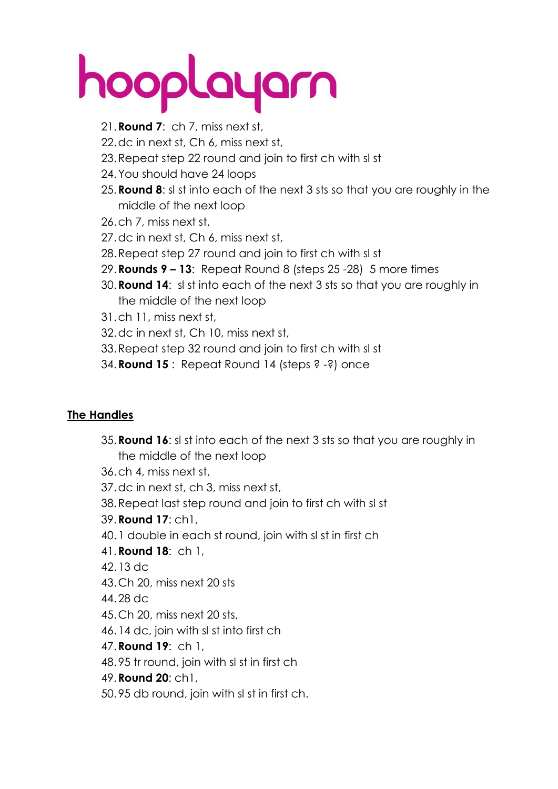## hooplayarn

- 21.**Round 7**: ch 7, miss next st,
- 22.dc in next st, Ch 6, miss next st,
- 23.Repeat step 22 round and join to first ch with sl st
- 24.You should have 24 loops
- 25.**Round 8**: sl st into each of the next 3 sts so that you are roughly in the middle of the next loop
- 26.ch 7, miss next st,
- 27.dc in next st, Ch 6, miss next st,
- 28.Repeat step 27 round and join to first ch with sl st
- 29.**Rounds 9 – 13**: Repeat Round 8 (steps 25 -28) 5 more times
- 30.**Round 14**: sl st into each of the next 3 sts so that you are roughly in the middle of the next loop
- 31.ch 11, miss next st,
- 32.dc in next st, Ch 10, miss next st,
- 33.Repeat step 32 round and join to first ch with sl st
- 34.**Round 15** : Repeat Round 14 (steps ? -?) once

### **The Handles**

- 35.**Round 16**: sl st into each of the next 3 sts so that you are roughly in the middle of the next loop
- 36.ch 4, miss next st,
- 37.dc in next st, ch 3, miss next st,
- 38.Repeat last step round and join to first ch with sl st
- 39.**Round 17**: ch1,
- 40.1 double in each st round, join with sl st in first ch
- 41.**Round 18**: ch 1,
- 42.13 dc
- 43.Ch 20, miss next 20 sts
- 44.28 dc
- 45.Ch 20, miss next 20 sts,
- 46.14 dc, join with sl st into first ch
- 47.**Round 19**: ch 1,
- 48.95 tr round, join with sl st in first ch
- 49.**Round 20**: ch1,
- 50.95 db round, join with sl st in first ch.